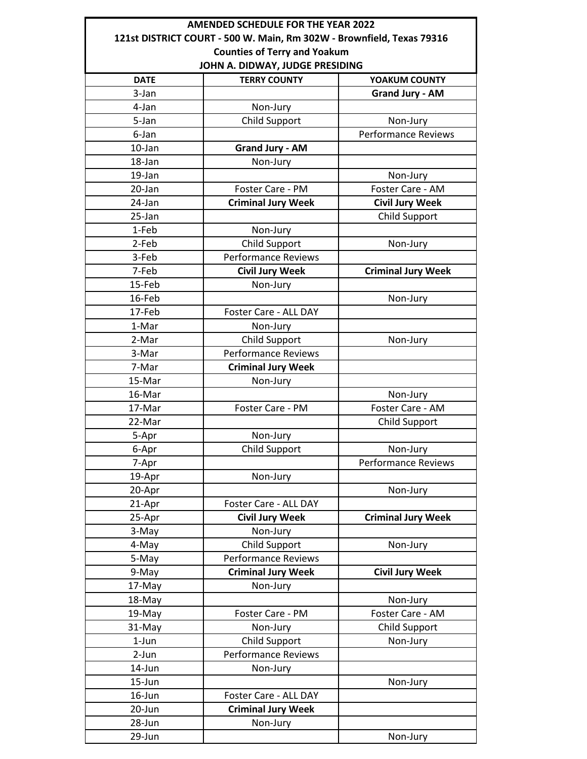|                                                                       | <b>AMENDED SCHEDULE FOR THE YEAR 2022</b> |                            |  |  |
|-----------------------------------------------------------------------|-------------------------------------------|----------------------------|--|--|
| 121st DISTRICT COURT - 500 W. Main, Rm 302W - Brownfield, Texas 79316 |                                           |                            |  |  |
| <b>Counties of Terry and Yoakum</b>                                   |                                           |                            |  |  |
| JOHN A. DIDWAY, JUDGE PRESIDING                                       |                                           |                            |  |  |
| <b>DATE</b>                                                           | <b>TERRY COUNTY</b>                       | YOAKUM COUNTY              |  |  |
| 3-Jan                                                                 |                                           | <b>Grand Jury - AM</b>     |  |  |
| 4-Jan                                                                 | Non-Jury                                  |                            |  |  |
| 5-Jan                                                                 | <b>Child Support</b>                      | Non-Jury                   |  |  |
| 6-Jan                                                                 |                                           | <b>Performance Reviews</b> |  |  |
| 10-Jan                                                                | <b>Grand Jury - AM</b>                    |                            |  |  |
| 18-Jan                                                                | Non-Jury                                  |                            |  |  |
| 19-Jan                                                                |                                           | Non-Jury                   |  |  |
| 20-Jan                                                                | Foster Care - PM                          | Foster Care - AM           |  |  |
| 24-Jan                                                                | <b>Criminal Jury Week</b>                 | <b>Civil Jury Week</b>     |  |  |
| 25-Jan                                                                |                                           | Child Support              |  |  |
| 1-Feb                                                                 | Non-Jury                                  |                            |  |  |
| 2-Feb                                                                 | <b>Child Support</b>                      | Non-Jury                   |  |  |
| 3-Feb                                                                 | <b>Performance Reviews</b>                |                            |  |  |
| 7-Feb                                                                 | <b>Civil Jury Week</b>                    | <b>Criminal Jury Week</b>  |  |  |
| 15-Feb                                                                | Non-Jury                                  |                            |  |  |
| 16-Feb                                                                |                                           | Non-Jury                   |  |  |
| 17-Feb                                                                | Foster Care - ALL DAY                     |                            |  |  |
| 1-Mar                                                                 | Non-Jury                                  |                            |  |  |
| 2-Mar                                                                 | <b>Child Support</b>                      | Non-Jury                   |  |  |
| 3-Mar                                                                 | <b>Performance Reviews</b>                |                            |  |  |
| 7-Mar                                                                 | <b>Criminal Jury Week</b>                 |                            |  |  |
| 15-Mar                                                                | Non-Jury                                  |                            |  |  |
| 16-Mar                                                                |                                           | Non-Jury                   |  |  |
| 17-Mar                                                                | Foster Care - PM                          | Foster Care - AM           |  |  |
| 22-Mar                                                                |                                           | Child Support              |  |  |
| 5-Apr                                                                 | Non-Jury                                  |                            |  |  |
| 6-Apr                                                                 | Child Support                             | Non-Jury                   |  |  |
| 7-Apr                                                                 |                                           | <b>Performance Reviews</b> |  |  |
| 19-Apr                                                                | Non-Jury                                  |                            |  |  |
| 20-Apr                                                                |                                           | Non-Jury                   |  |  |
| 21-Apr                                                                | Foster Care - ALL DAY                     |                            |  |  |
| 25-Apr                                                                | <b>Civil Jury Week</b>                    | <b>Criminal Jury Week</b>  |  |  |
| 3-May                                                                 | Non-Jury                                  |                            |  |  |
| 4-May                                                                 | <b>Child Support</b>                      | Non-Jury                   |  |  |
| 5-May                                                                 | <b>Performance Reviews</b>                |                            |  |  |
| 9-May                                                                 | <b>Criminal Jury Week</b>                 | <b>Civil Jury Week</b>     |  |  |
| 17-May                                                                | Non-Jury                                  |                            |  |  |
| 18-May                                                                |                                           | Non-Jury                   |  |  |
| 19-May                                                                | Foster Care - PM                          | Foster Care - AM           |  |  |
| 31-May                                                                | Non-Jury                                  | <b>Child Support</b>       |  |  |
| 1-Jun                                                                 | Child Support                             | Non-Jury                   |  |  |
| $2-Jun$                                                               | <b>Performance Reviews</b>                |                            |  |  |
| 14-Jun                                                                | Non-Jury                                  |                            |  |  |
| 15-Jun                                                                |                                           | Non-Jury                   |  |  |
| 16-Jun                                                                | Foster Care - ALL DAY                     |                            |  |  |
| 20-Jun                                                                | <b>Criminal Jury Week</b>                 |                            |  |  |
| 28-Jun                                                                | Non-Jury                                  |                            |  |  |
| 29-Jun                                                                |                                           | Non-Jury                   |  |  |